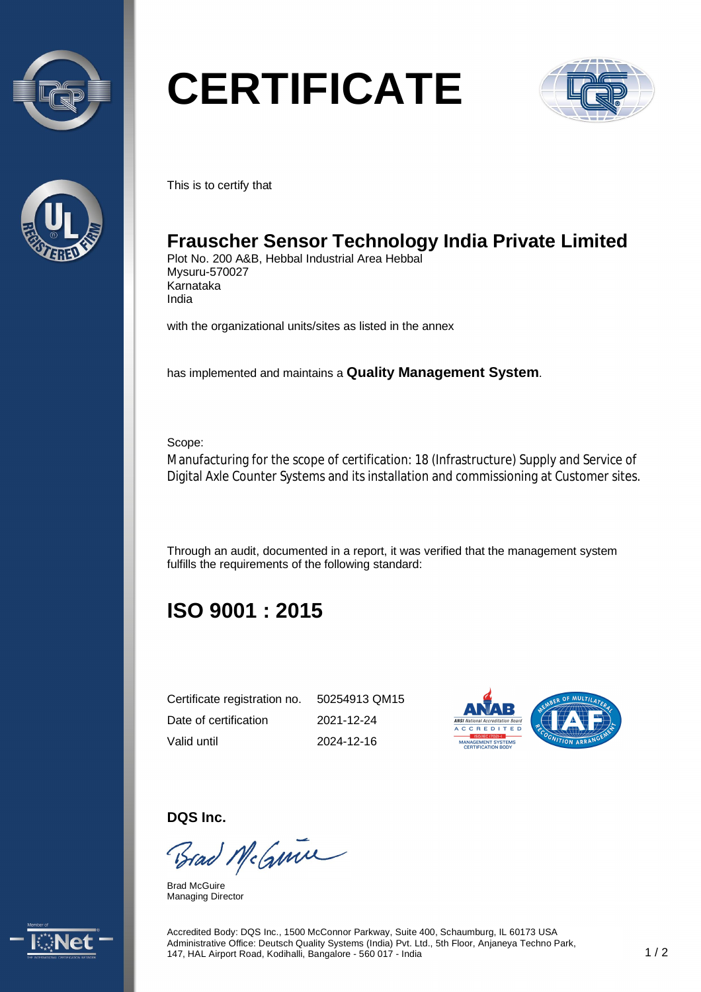



# **CERTIFICATE**



This is to certify that

## **Frauscher Sensor Technology India Private Limited**

Plot No. 200 A&B, Hebbal Industrial Area Hebbal Mysuru-570027 Karnataka India

with the organizational units/sites as listed in the annex

has implemented and maintains a **Quality Management System**.

Scope:

Manufacturing for the scope of certification: 18 (Infrastructure) Supply and Service of Digital Axle Counter Systems and its installation and commissioning at Customer sites.

Through an audit, documented in a report, it was verified that the management system fulfills the requirements of the following standard:

# **ISO 9001 : 2015**

| Certificate registration no. | 50254913 QM15 |
|------------------------------|---------------|
| Date of certification        | 2021-12-24    |
| Valid until                  | 2024-12-16    |



**DQS Inc.** 

Brad McGmin

Brad McGuire Managing Director



Accredited Body: DQS Inc., 1500 McConnor Parkway, Suite 400, Schaumburg, IL 60173 USA Administrative Office: Deutsch Quality Systems (India) Pvt. Ltd., 5th Floor, Anjaneya Techno Park, 147, HAL Airport Road, Kodihalli, Bangalore - 560 017 - India 1 / 2